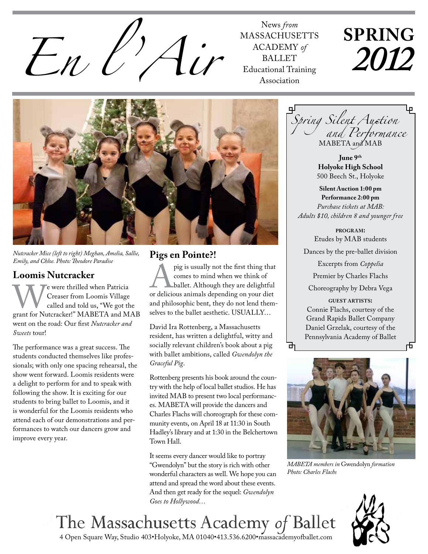News *from*<br>*En l'Ifr* MASSACHUSH<br>*Educational Tra* 

**MASSACHUSETTS** ACADEMY of **BALLET** Educational Training Association

# **SPRING** *2012*



*Nutcracker Mice (left to right) Meghan, Amelia, Sallie, Emily, and Chloe. Photo: Theodore Paradise*

## **Loomis Nutcracker**

We were thrilled when Patricia<br>
Creaser from Loomis Village<br>
grant for Nutcracker!" MABETA and MAB Creaser from Loomis Village called and told us, "We got the went on the road: Our first *Nutcracker and Sweets* tour!

The performance was a great success. The students conducted themselves like professionals; with only one spacing rehearsal, the show went forward. Loomis residents were a delight to perform for and to speak with following the show. It is exciting for our students to bring ballet to Loomis, and it is wonderful for the Loomis residents who attend each of our demonstrations and performances to watch our dancers grow and improve every year.

## **Pigs en Pointe?!**

pig is usually not the first thing that<br>
comes to mind when we think of<br>
ballet. Although they are delightful<br>
or delicious animals depending on your diet comes to mind when we think of ballet. Although they are delightful and philosophic bent, they do not lend themselves to the ballet aesthetic. USUALLY…

David Ira Rottenberg, a Massachusetts resident, has written a delightful, witty and socially relevant children's book about a pig with ballet ambitions, called *Gwendolyn the Graceful Pig*.

Rottenberg presents his book around the country with the help of local ballet studios. He has invited MAB to present two local performances. MABETA will provide the dancers and Charles Flachs will choreograph for these community events, on April 18 at 11:30 in South Hadley's library and at 1:30 in the Belchertown Town Hall.

It seems every dancer would like to portray "Gwendolyn" but the story is rich with other wonderful characters as well. We hope you can attend and spread the word about these events. And then get ready for the sequel: *Gwendolyn Goes to Hollywood…*



**June 9th Holyoke High School** 500 Beech St., Holyoke

**Silent Auction 1:00 pm Performance 2:00 pm** *Purchase tickets at MAB: Adults \$10, children 8 and younger free*

> **program:** Etudes by MAB students

Dances by the pre-ballet division

Excerpts from *Coppelia*

Premier by Charles Flachs

Choreography by Debra Vega

**guest artists:** Connie Flachs, courtesy of the Grand Rapids Ballet Company Daniel Grzelak, courtesy of the Pennsylvania Academy of Ballet



*MABETA members in* Gwendolyn *formation Photo: Charles Flachs*

4 Open Square Way, Studio 403•Holyoke, MA 01040•413.536.6200•massacademyofballet.com

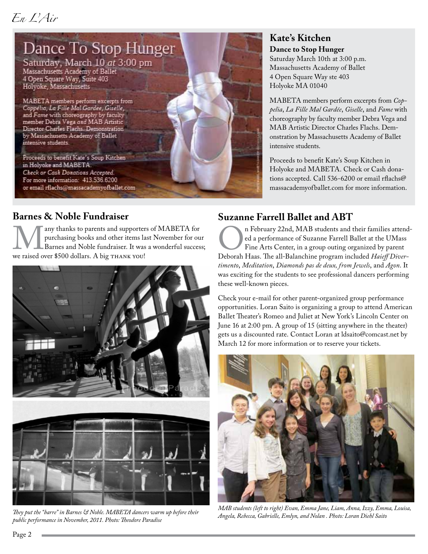

#### **Kate's Kitchen Dance to Stop Hunger** Saturday March 10th at 3:00 p.m. Massachusetts Academy of Ballet 4 Open Square Way ste 403 Holyoke MA 01040

MABETA members perform excerpts from *Coppelia*, *La Fille Mal Gardée*, *Giselle*, and *Fame* with choreography by faculty member Debra Vega and MAB Artistic Director Charles Flachs. Demonstration by Massachusetts Academy of Ballet intensive students.

Proceeds to benefit Kate's Soup Kitchen in Holyoke and MABETA. Check or Cash donations accepted. Call 536-6200 or email rflachs@ massacademyofballet.com for more information.

## **Barnes & Noble Fundraiser**

Manks to parents and supporters of MABETA for<br>purchasing books and other items last November for our<br>Barnes and Noble fundraiser. It was a wonderful succes<br>we raised over \$500 dollars. A big THANK YOU! purchasing books and other items last November for our Barnes and Noble fundraiser. It was a wonderful success; we raised over \$500 dollars. A big THANK YOU!





*They put the "barre" in Barnes & Noble. MABETA dancers warm up before their public performance in November, 2011. Photo: Theodore Paradise*

# **Suzanne Farrell Ballet and ABT**

In February 22nd, MAB students and their families attended a performance of Suzanne Farrell Ballet at the UMass<br>Fine Arts Center, in a group outing organized by parent<br>Deborah Haas. The all-Balanchine program included *Hai* ed a performance of Suzanne Farrell Ballet at the UMass Fine Arts Center, in a group outing organized by parent *timento*, *Meditation*, *Diamonds pas de deux, from Jewels*, and *Agon*. It was exciting for the students to see professional dancers performing these well-known pieces.

Check your e-mail for other parent-organized group performance opportunities. Loran Saito is organizing a group to attend American Ballet Theater's Romeo and Juliet at New York's Lincoln Center on June 16 at 2:00 pm. A group of 15 (sitting anywhere in the theater) gets us a discounted rate. Contact Loran at ldsaito@comcast.net by March 12 for more information or to reserve your tickets.



*MAB students (left to right) Evan, Emma Jane, Liam, Anna, Izzy, Emma, Louisa, Angela, Rebecca, Gabrielle, Emlyn, and Nolan . Photo: Loran Diehl Saito*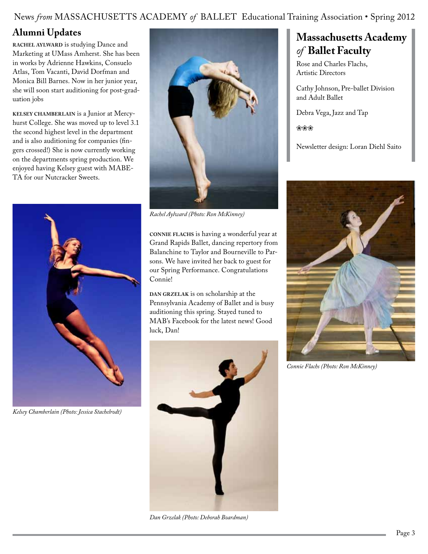#### News *from* MASSACHUSETTS ACADEMY of BALLET Educational Training Association • Spring 2012

# **Alumni Updates**

**rachel aylward** is studying Dance and Marketing at UMass Amherst. She has been in works by Adrienne Hawkins, Consuelo Atlas, Tom Vacanti, David Dorfman and Monica Bill Barnes. Now in her junior year, she will soon start auditioning for post-graduation jobs

**kelsey chamberlain** is a Junior at Mercyhurst College. She was moved up to level 3.1 the second highest level in the department and is also auditioning for companies (fingers crossed!) She is now currently working on the departments spring production. We enjoyed having Kelsey guest with MABE-TA for our Nutcracker Sweets.



*Kelsey Chamberlain (Photo: Jessica Stachelrodt)*



*Rachel Aylward (Photo: Ron McKinney)*

**connie flachs** is having a wonderful year at Grand Rapids Ballet, dancing repertory from Balanchine to Taylor and Bourneville to Parsons. We have invited her back to guest for our Spring Performance. Congratulations Connie!

**dan grzelak** is on scholarship at the Pennsylvania Academy of Ballet and is busy auditioning this spring. Stayed tuned to MAB's Facebook for the latest news! Good luck, Dan!



*Dan Grzelak (Photo: Deborah Boardman)*

# **Massachusetts Academy**  *of* **Ballet Faculty**

Rose and Charles Flachs, Artistic Directors

Cathy Johnson, Pre-ballet Division and Adult Ballet

Debra Vega, Jazz and Tap

❀❀❀

Newsletter design: Loran Diehl Saito



*Connie Flachs (Photo: Ron McKinney)*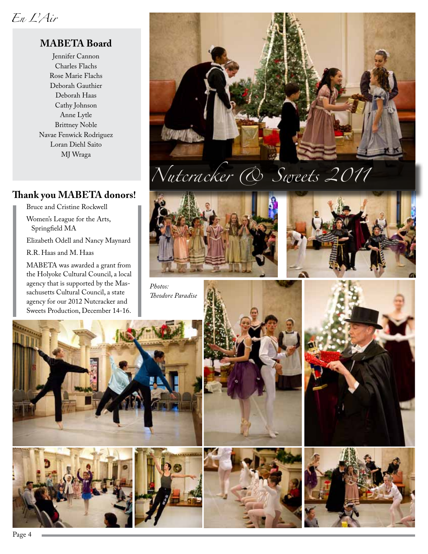# *En L'Air*

# **MABETA Board**

Jennifer Cannon Charles Flachs Rose Marie Flachs Deborah Gauthier Deborah Haas Cathy Johnson Anne Lytle Brittney Noble Navae Fenwick Rodriguez Loran Diehl Saito MJ Wraga

# **Thank you MABETA donors!**

Bruce and Cristine Rockwell

Women's League for the Arts, Springfield MA

Elizabeth Odell and Nancy Maynard

R.R. Haas and M. Haas

MABETA was awarded a grant from the Holyoke Cultural Council, a local agency that is supported by the Massachusetts Cultural Council, a state agency for our 2012 Nutcracker and Sweets Production, December 14-16.



# *Nutcracker & Sweets 2011*



*Photos: Theodore Paradise*







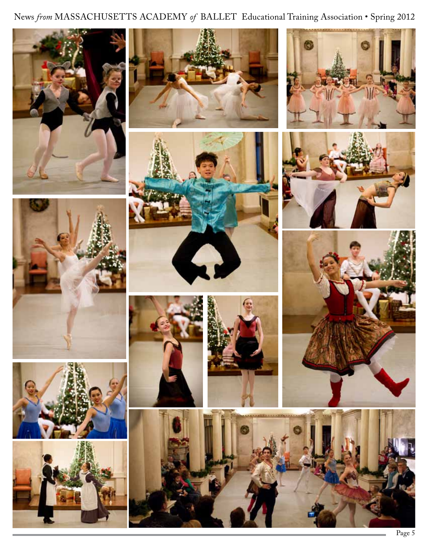News *from* MASSACHUSETTS ACADEMY of BALLET Educational Training Association • Spring 2012





















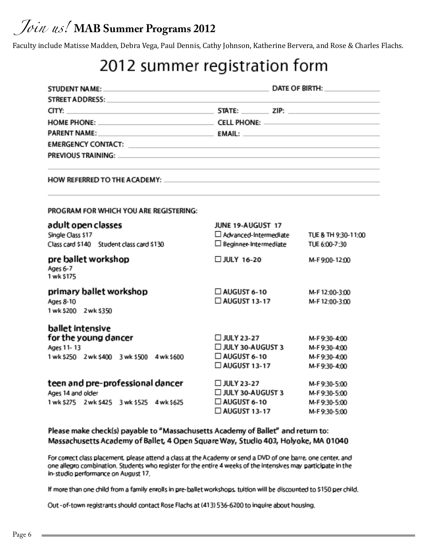#### $\sigma$ *Join us!* **MAB Summer Programs 2012**

Faculty include Matisse Madden, Debra Vega, Paul Dennis, Cathy Johnson, Katherine Bervera, and Rose & Charles Flachs.

# 2012 summer registration form

| EMERGENCY CONTACT: <b>A CONTACT CONTACT CONTACT CONTACT CONTACT</b>                                            |                              |                     |
|----------------------------------------------------------------------------------------------------------------|------------------------------|---------------------|
| PREVIOUS TRAINING: NAME OF PREVIOUS CONTRACT OF PREVIOUS CONTRACT OF PREVIOUS CONTRACT OF PREVIOUS CONTRACT OF |                              |                     |
|                                                                                                                |                              |                     |
| PROGRAM FOR WHICH YOU ARE REGISTERING:                                                                         |                              |                     |
| adult open classes                                                                                             | JUNE 19-AUGUST 17            |                     |
| Single Class \$17                                                                                              | $\Box$ Advanced-Intermediate | TUE & TH 9:30-11:00 |
| Class card \$140 Student class card \$130                                                                      | $\Box$ Beginner-Intermediate | TUE 6:00-7:30       |
| pre ballet workshop<br>Ages 6-7<br>1 wk \$175                                                                  | □ JULY 16-20                 | M-F9:00-12:00       |
| primary ballet workshop                                                                                        | $\Box$ AUGUST 6-10           | M-F12:00-3:00       |
| Ages 8-10                                                                                                      | $\Box$ AUGUST 13-17          | M-F12:00-3:00       |
| 1 wk \$200 2 wk \$350                                                                                          |                              |                     |
| ballet intensive                                                                                               |                              |                     |
| for the young dancer                                                                                           | □ JULY 23-27                 | M-F9:30-4:00        |
| Ages 11-13                                                                                                     | □ JULY 30-AUGUST 3           | M-F9:30-4:00        |
| 1 wk \$250 2 wk \$400 3 wk \$500 4 wk \$600                                                                    | $\square$ AUGUST 6-10        | M-F9:30-4:00        |
|                                                                                                                | □ AUGUST 13-17               | M-F9:30-4:00        |
| teen and pre-professional dancer                                                                               | □ JULY 23-27                 | M-F9:30-5:00        |
| Ages 14 and older                                                                                              | □ JULY 30-AUGUST 3           | M-F9:30-5:00        |
| 1 wk \$275 2 wk \$425 3 wk \$525 4 wk \$625                                                                    | $\square$ AUGUST 6-10        | M-F9:30-5:00        |
|                                                                                                                | $\Box$ AUGUST 13-17          | M-F9:30-5:00        |
|                                                                                                                |                              |                     |

Please make check(s) payable to "Massachusetts Academy of Ballet" and return to: Massachusetts Academy of Ballet, 4 Open Square Way, Studio 403, Holyoke, MA 01040

For correct class placement, please attend a class at the Academy or send a DVD of one barre, one center, and one allegro combination. Students who register for the entire 4 weeks of the intensives may participate in the in-studio performance on August 17.

If more than one child from a family enrolls in pre-ballet workshops, tuition will be discounted to \$150 per child.

Out-of-town registrants should contact Rose Flachs at (413) 536-6200 to inquire about housing.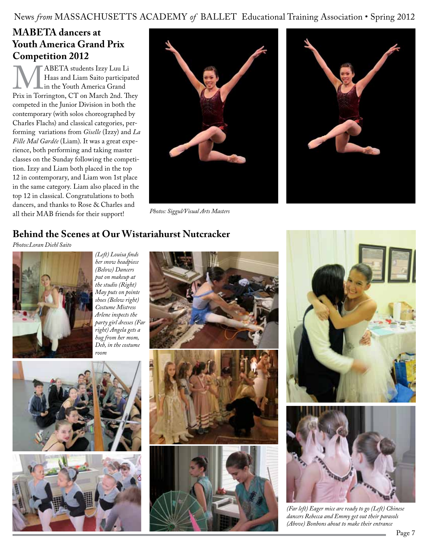#### News *from* MASSACHUSETTS ACADEMY of BALLET Educational Training Association • Spring 2012

## **MABETA dancers at Youth America Grand Prix Competition 2012**

MABETA students Izzy Luu Li<br>
In the Youth America Grand<br>
Prix in Torrington, CT on March 2nd. They Haas and Liam Saito participated in the Youth America Grand competed in the Junior Division in both the contemporary (with solos choreographed by Charles Flachs) and classical categories, performing variations from *Giselle* (Izzy) and *La Fille Mal Gardée* (Liam). It was a great experience, both performing and taking master classes on the Sunday following the competition. Izzy and Liam both placed in the top 12 in contemporary, and Liam won 1st place in the same category. Liam also placed in the top 12 in classical. Congratulations to both dancers, and thanks to Rose & Charles and all their MAB friends for their support!



*Photos: Siggul/Visual Arts Masters*



# **Behind the Scenes at Our Wistariahurst Nutcracker**

*Photos:Loran Diehl Saito*



*(Left) Louisa finds her snow headpiece (Below) Dancers put on makeup at the studio (Right) May puts on pointe shoes (Below right) Costume Mistress Arlene inspects the party girl dresses (Far right) Angela gets a hug from her mom, Deb, in the costume room*















*(Far left) Eager mice are ready to go (Left) Chinese dancers Rebecca and Emmy get out their parasols (Above) Bonbons about to make their entrance*